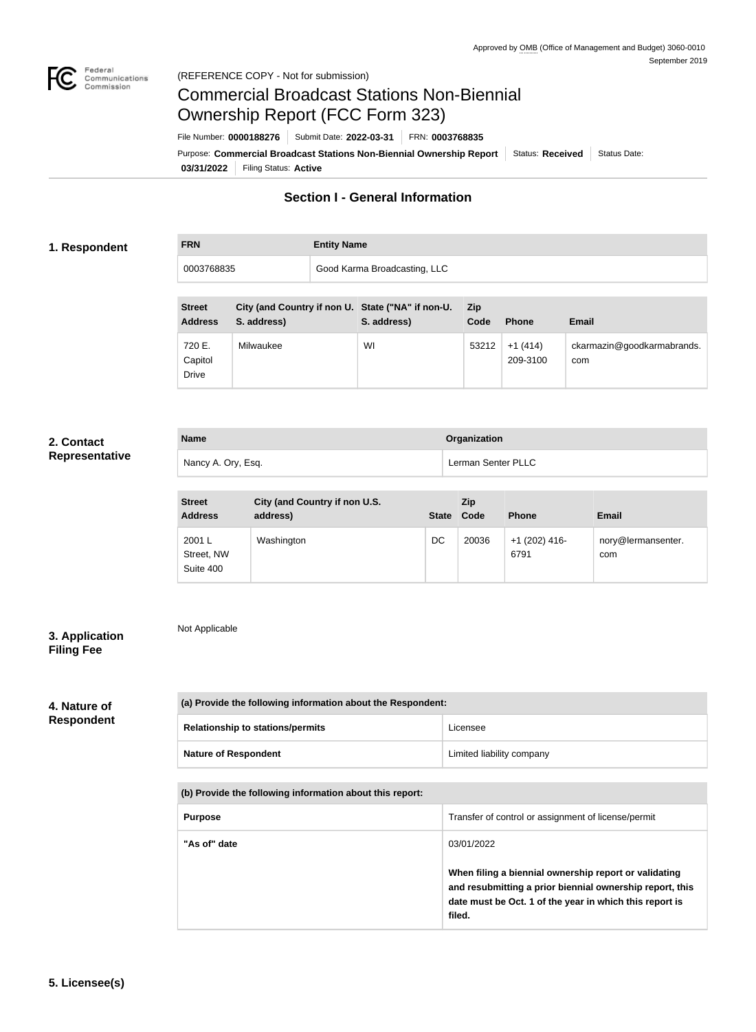

# Commercial Broadcast Stations Non-Biennial Ownership Report (FCC Form 323)

**03/31/2022** Filing Status: **Active** Purpose: Commercial Broadcast Stations Non-Biennial Ownership Report Status: Received Status Date: File Number: **0000188276** Submit Date: **2022-03-31** FRN: **0003768835**

# **Section I - General Information**

## **1. Respondent**

**FRN Entity Name** 0003768835 Good Karma Broadcasting, LLC

| <b>Street</b><br><b>Address</b>   | City (and Country if non U. State ("NA" if non-U.<br>S. address) | S. address) | <b>Zip</b><br>Code | <b>Phone</b>          | <b>Email</b>                      |
|-----------------------------------|------------------------------------------------------------------|-------------|--------------------|-----------------------|-----------------------------------|
| 720 E.<br>Capitol<br><b>Drive</b> | Milwaukee                                                        | WI          | 53212              | $+1(414)$<br>209-3100 | ckarmazin@goodkarmabrands.<br>com |

## **2. Contact Representative**

| <b>Name</b>        | Organization       |
|--------------------|--------------------|
| Nancy A. Ory, Esq. | Lerman Senter PLLC |

| <b>Street</b><br><b>Address</b>   | City (and Country if non U.S.<br>address) | <b>State</b> | Zip<br>Code | <b>Phone</b>            | <b>Email</b>              |
|-----------------------------------|-------------------------------------------|--------------|-------------|-------------------------|---------------------------|
| 2001 L<br>Street, NW<br>Suite 400 | Washington                                | DC           | 20036       | $+1$ (202) 416-<br>6791 | nory@lermansenter.<br>com |

## **3. Application Filing Fee**

Not Applicable

# **4. Nature of Respondent**

| (a) Provide the following information about the Respondent: |                           |  |
|-------------------------------------------------------------|---------------------------|--|
| <b>Relationship to stations/permits</b>                     | Licensee                  |  |
| <b>Nature of Respondent</b>                                 | Limited liability company |  |

#### **(b) Provide the following information about this report:**

| <b>Purpose</b> | Transfer of control or assignment of license/permit                                                                                                                                                  |
|----------------|------------------------------------------------------------------------------------------------------------------------------------------------------------------------------------------------------|
| "As of" date   | 03/01/2022<br>When filing a biennial ownership report or validating<br>and resubmitting a prior biennial ownership report, this<br>date must be Oct. 1 of the year in which this report is<br>filed. |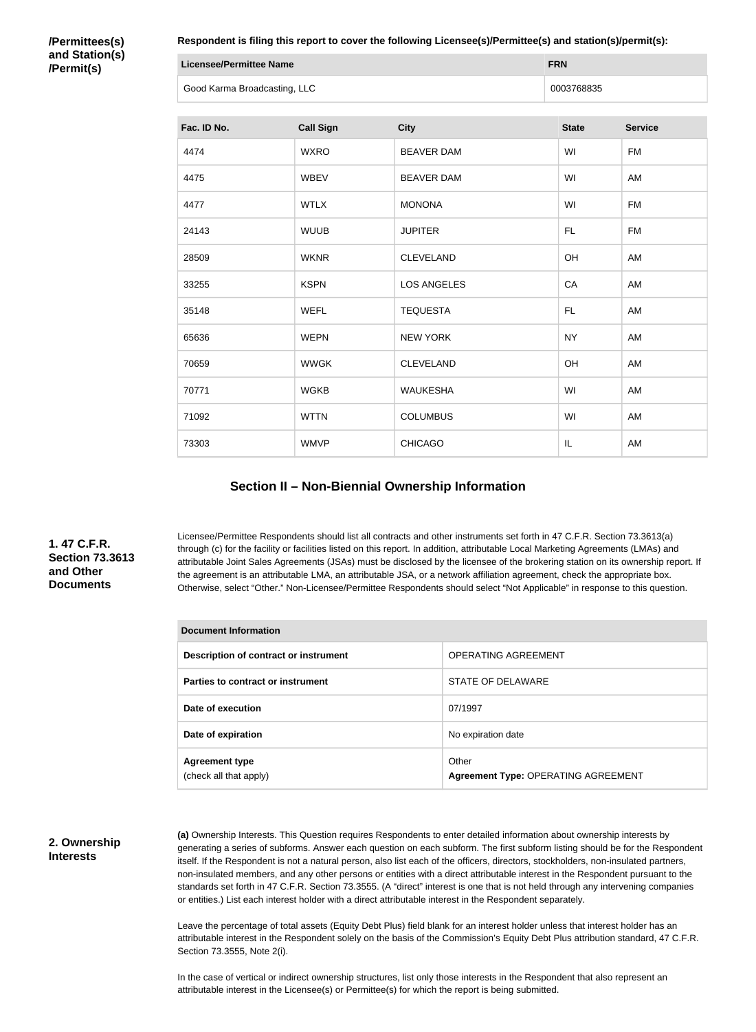**/Permittees(s) and Station(s) /Permit(s)**

**Respondent is filing this report to cover the following Licensee(s)/Permittee(s) and station(s)/permit(s):**

| Licensee/Permittee Name      | <b>FRN</b> |
|------------------------------|------------|
| Good Karma Broadcasting, LLC | 0003768835 |

| Fac. ID No. | <b>Call Sign</b> | <b>City</b>        | <b>State</b> | <b>Service</b> |
|-------------|------------------|--------------------|--------------|----------------|
| 4474        | <b>WXRO</b>      | <b>BEAVER DAM</b>  | WI           | <b>FM</b>      |
| 4475        | <b>WBEV</b>      | <b>BEAVER DAM</b>  | WI           | AM             |
| 4477        | <b>WTLX</b>      | <b>MONONA</b>      | WI           | <b>FM</b>      |
| 24143       | <b>WUUB</b>      | <b>JUPITER</b>     | <b>FL</b>    | <b>FM</b>      |
| 28509       | <b>WKNR</b>      | <b>CLEVELAND</b>   | OH           | AM             |
| 33255       | <b>KSPN</b>      | <b>LOS ANGELES</b> | CA           | AM             |
| 35148       | <b>WEFL</b>      | <b>TEQUESTA</b>    | <b>FL</b>    | AM             |
| 65636       | <b>WEPN</b>      | <b>NEW YORK</b>    | <b>NY</b>    | AM             |
| 70659       | <b>WWGK</b>      | <b>CLEVELAND</b>   | OH           | AM             |
| 70771       | <b>WGKB</b>      | <b>WAUKESHA</b>    | WI           | AM             |
| 71092       | <b>WTTN</b>      | <b>COLUMBUS</b>    | WI           | AM             |
| 73303       | <b>WMVP</b>      | <b>CHICAGO</b>     | IL           | AM             |

#### **Section II – Non-Biennial Ownership Information**

## **1. 47 C.F.R. Section 73.3613 and Other Documents**

Licensee/Permittee Respondents should list all contracts and other instruments set forth in 47 C.F.R. Section 73.3613(a) through (c) for the facility or facilities listed on this report. In addition, attributable Local Marketing Agreements (LMAs) and attributable Joint Sales Agreements (JSAs) must be disclosed by the licensee of the brokering station on its ownership report. If the agreement is an attributable LMA, an attributable JSA, or a network affiliation agreement, check the appropriate box. Otherwise, select "Other." Non-Licensee/Permittee Respondents should select "Not Applicable" in response to this question.

| PVV4111911\ 1111911114\1911                     |                                                     |  |  |  |
|-------------------------------------------------|-----------------------------------------------------|--|--|--|
| Description of contract or instrument           | <b>OPERATING AGREEMENT</b>                          |  |  |  |
| Parties to contract or instrument               | STATE OF DELAWARE                                   |  |  |  |
| Date of execution                               | 07/1997                                             |  |  |  |
| Date of expiration                              | No expiration date                                  |  |  |  |
| <b>Agreement type</b><br>(check all that apply) | Other<br><b>Agreement Type: OPERATING AGREEMENT</b> |  |  |  |

#### **2. Ownership Interests**

**(a)** Ownership Interests. This Question requires Respondents to enter detailed information about ownership interests by generating a series of subforms. Answer each question on each subform. The first subform listing should be for the Respondent itself. If the Respondent is not a natural person, also list each of the officers, directors, stockholders, non-insulated partners, non-insulated members, and any other persons or entities with a direct attributable interest in the Respondent pursuant to the standards set forth in 47 C.F.R. Section 73.3555. (A "direct" interest is one that is not held through any intervening companies or entities.) List each interest holder with a direct attributable interest in the Respondent separately.

Leave the percentage of total assets (Equity Debt Plus) field blank for an interest holder unless that interest holder has an attributable interest in the Respondent solely on the basis of the Commission's Equity Debt Plus attribution standard, 47 C.F.R. Section 73.3555, Note 2(i).

In the case of vertical or indirect ownership structures, list only those interests in the Respondent that also represent an attributable interest in the Licensee(s) or Permittee(s) for which the report is being submitted.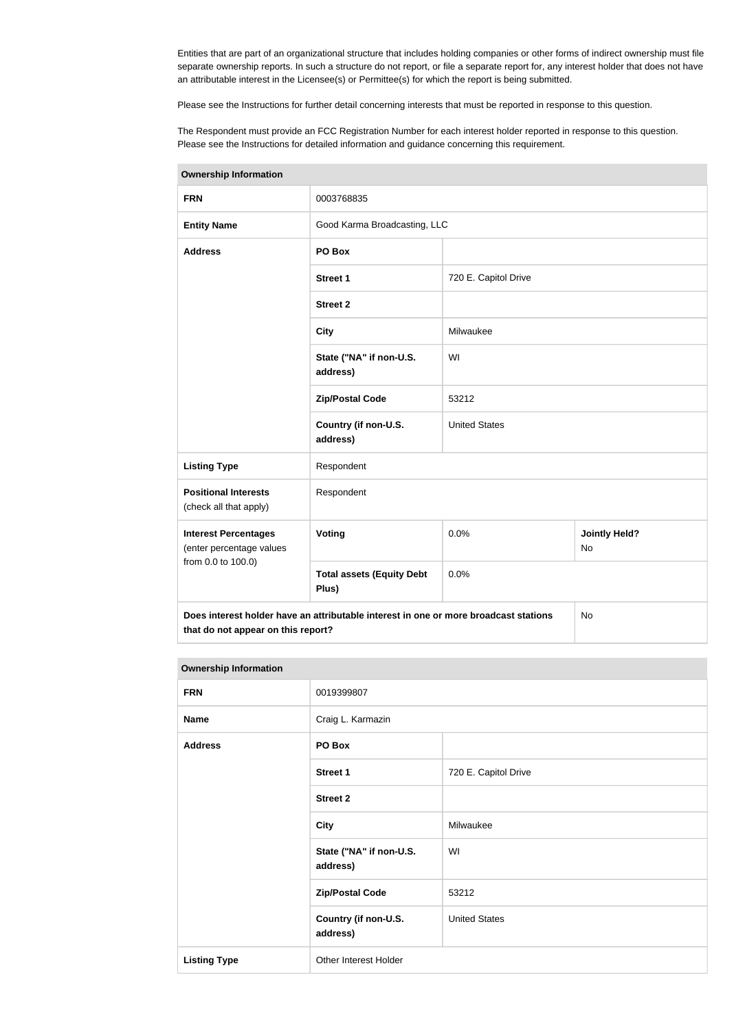Entities that are part of an organizational structure that includes holding companies or other forms of indirect ownership must file separate ownership reports. In such a structure do not report, or file a separate report for, any interest holder that does not have an attributable interest in the Licensee(s) or Permittee(s) for which the report is being submitted.

Please see the Instructions for further detail concerning interests that must be reported in response to this question.

The Respondent must provide an FCC Registration Number for each interest holder reported in response to this question. Please see the Instructions for detailed information and guidance concerning this requirement.

| <b>Ownership Information</b>                            |                                                                                      |                              |                                   |  |
|---------------------------------------------------------|--------------------------------------------------------------------------------------|------------------------------|-----------------------------------|--|
| <b>FRN</b>                                              | 0003768835                                                                           |                              |                                   |  |
| <b>Entity Name</b>                                      |                                                                                      | Good Karma Broadcasting, LLC |                                   |  |
| <b>Address</b>                                          | PO Box                                                                               |                              |                                   |  |
|                                                         | <b>Street 1</b>                                                                      | 720 E. Capitol Drive         |                                   |  |
|                                                         | <b>Street 2</b>                                                                      |                              |                                   |  |
|                                                         | <b>City</b>                                                                          | Milwaukee                    |                                   |  |
|                                                         | State ("NA" if non-U.S.<br>address)                                                  | WI                           |                                   |  |
|                                                         | <b>Zip/Postal Code</b>                                                               | 53212                        |                                   |  |
|                                                         | Country (if non-U.S.<br>address)                                                     | <b>United States</b>         |                                   |  |
| <b>Listing Type</b>                                     | Respondent                                                                           |                              |                                   |  |
| <b>Positional Interests</b><br>(check all that apply)   | Respondent                                                                           |                              |                                   |  |
| <b>Interest Percentages</b><br>(enter percentage values | Voting                                                                               | 0.0%                         | <b>Jointly Held?</b><br><b>No</b> |  |
| from 0.0 to 100.0)                                      | <b>Total assets (Equity Debt</b><br>Plus)                                            | 0.0%                         |                                   |  |
| that do not appear on this report?                      | Does interest holder have an attributable interest in one or more broadcast stations |                              | No                                |  |

**Ownership Information**

| <b>Ownership Information</b> |                                     |                      |  |
|------------------------------|-------------------------------------|----------------------|--|
| <b>FRN</b>                   | 0019399807                          |                      |  |
| <b>Name</b>                  | Craig L. Karmazin                   |                      |  |
| <b>Address</b>               | PO Box                              |                      |  |
|                              | <b>Street 1</b>                     | 720 E. Capitol Drive |  |
|                              | <b>Street 2</b>                     |                      |  |
|                              | <b>City</b>                         | Milwaukee            |  |
|                              | State ("NA" if non-U.S.<br>address) | WI                   |  |
|                              | <b>Zip/Postal Code</b>              | 53212                |  |
|                              | Country (if non-U.S.<br>address)    | <b>United States</b> |  |
|                              |                                     |                      |  |

**Listing Type Other Interest Holder**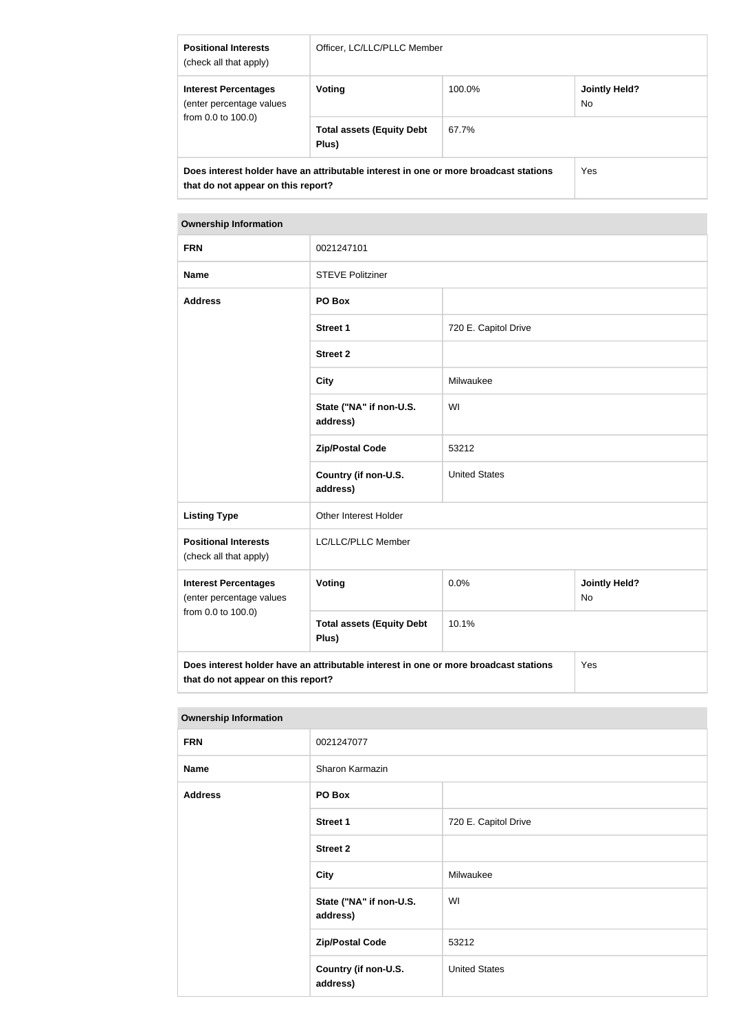| <b>Positional Interests</b><br>(check all that apply)                                                                      | Officer, LC/LLC/PLLC Member               |                                |     |  |
|----------------------------------------------------------------------------------------------------------------------------|-------------------------------------------|--------------------------------|-----|--|
| <b>Interest Percentages</b><br>(enter percentage values                                                                    | Voting                                    | 100.0%<br>Jointly Held?<br>No. |     |  |
| from 0.0 to 100.0)                                                                                                         | <b>Total assets (Equity Debt</b><br>Plus) | 67.7%                          |     |  |
| Does interest holder have an attributable interest in one or more broadcast stations<br>that do not appear on this report? |                                           |                                | Yes |  |

#### **Ownership Information**

| <b>FRN</b>                                                                                                                        | 0021247101                                |                      |                                   |
|-----------------------------------------------------------------------------------------------------------------------------------|-------------------------------------------|----------------------|-----------------------------------|
| <b>Name</b>                                                                                                                       | <b>STEVE Politziner</b>                   |                      |                                   |
| <b>Address</b>                                                                                                                    | PO Box                                    |                      |                                   |
|                                                                                                                                   | <b>Street 1</b>                           | 720 E. Capitol Drive |                                   |
|                                                                                                                                   | <b>Street 2</b>                           |                      |                                   |
|                                                                                                                                   | <b>City</b>                               | Milwaukee            |                                   |
|                                                                                                                                   | State ("NA" if non-U.S.<br>address)       | WI                   |                                   |
|                                                                                                                                   | <b>Zip/Postal Code</b>                    | 53212                |                                   |
|                                                                                                                                   | Country (if non-U.S.<br>address)          | <b>United States</b> |                                   |
| <b>Listing Type</b>                                                                                                               | Other Interest Holder                     |                      |                                   |
| <b>Positional Interests</b><br>(check all that apply)                                                                             | LC/LLC/PLLC Member                        |                      |                                   |
| <b>Interest Percentages</b><br>(enter percentage values                                                                           | Voting                                    | 0.0%                 | <b>Jointly Held?</b><br><b>No</b> |
| from 0.0 to 100.0)                                                                                                                | <b>Total assets (Equity Debt</b><br>Plus) | 10.1%                |                                   |
| Does interest holder have an attributable interest in one or more broadcast stations<br>Yes<br>that do not appear on this report? |                                           |                      |                                   |

#### **Ownership Information**

| <b>FRN</b>     | 0021247077                          |                      |
|----------------|-------------------------------------|----------------------|
| <b>Name</b>    | Sharon Karmazin                     |                      |
| <b>Address</b> | PO Box                              |                      |
|                | <b>Street 1</b>                     | 720 E. Capitol Drive |
|                | <b>Street 2</b>                     |                      |
|                | <b>City</b>                         | Milwaukee            |
|                | State ("NA" if non-U.S.<br>address) | WI                   |
|                | <b>Zip/Postal Code</b>              | 53212                |
|                | Country (if non-U.S.<br>address)    | <b>United States</b> |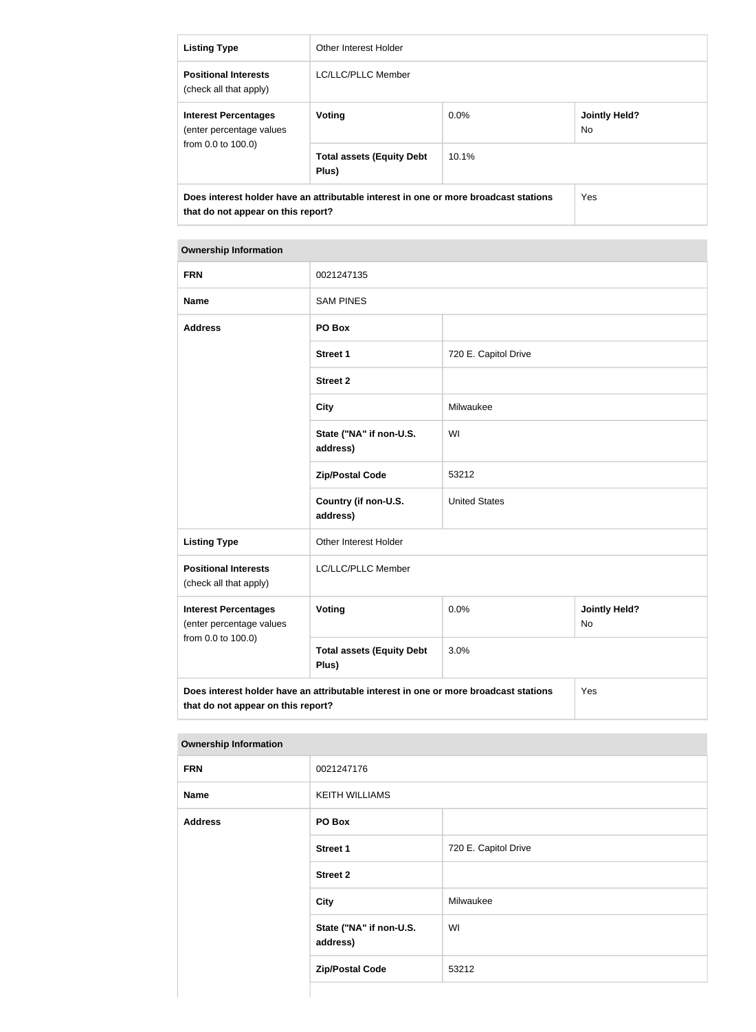| <b>Listing Type</b>                                                                                                        | Other Interest Holder                     |         |                             |
|----------------------------------------------------------------------------------------------------------------------------|-------------------------------------------|---------|-----------------------------|
| <b>Positional Interests</b><br>(check all that apply)                                                                      | LC/LLC/PLLC Member                        |         |                             |
| <b>Interest Percentages</b><br>(enter percentage values<br>from 0.0 to 100.0)                                              | Voting                                    | $0.0\%$ | <b>Jointly Held?</b><br>No. |
|                                                                                                                            | <b>Total assets (Equity Debt</b><br>Plus) | 10.1%   |                             |
| Does interest holder have an attributable interest in one or more broadcast stations<br>that do not appear on this report? |                                           | Yes     |                             |

#### **Ownership Information**

| <b>FRN</b>                                                                                                                        | 0021247135                                |                      |                                   |
|-----------------------------------------------------------------------------------------------------------------------------------|-------------------------------------------|----------------------|-----------------------------------|
| <b>Name</b>                                                                                                                       | <b>SAM PINES</b>                          |                      |                                   |
| <b>Address</b>                                                                                                                    | PO Box                                    |                      |                                   |
|                                                                                                                                   | <b>Street 1</b>                           | 720 E. Capitol Drive |                                   |
|                                                                                                                                   | <b>Street 2</b>                           |                      |                                   |
|                                                                                                                                   | <b>City</b>                               | Milwaukee            |                                   |
|                                                                                                                                   | State ("NA" if non-U.S.<br>address)       | WI                   |                                   |
|                                                                                                                                   | <b>Zip/Postal Code</b>                    | 53212                |                                   |
|                                                                                                                                   | Country (if non-U.S.<br>address)          | <b>United States</b> |                                   |
| <b>Listing Type</b>                                                                                                               | Other Interest Holder                     |                      |                                   |
| <b>Positional Interests</b><br>(check all that apply)                                                                             | LC/LLC/PLLC Member                        |                      |                                   |
| <b>Interest Percentages</b><br>(enter percentage values                                                                           | Voting                                    | 0.0%                 | <b>Jointly Held?</b><br><b>No</b> |
| from 0.0 to 100.0)                                                                                                                | <b>Total assets (Equity Debt</b><br>Plus) | 3.0%                 |                                   |
| Does interest holder have an attributable interest in one or more broadcast stations<br>Yes<br>that do not appear on this report? |                                           |                      |                                   |

#### **Ownership Information**

| <b>FRN</b>     | 0021247176                          |                      |
|----------------|-------------------------------------|----------------------|
| <b>Name</b>    | <b>KEITH WILLIAMS</b>               |                      |
| <b>Address</b> | PO Box                              |                      |
|                | <b>Street 1</b>                     | 720 E. Capitol Drive |
|                | <b>Street 2</b>                     |                      |
|                | City                                | Milwaukee            |
|                | State ("NA" if non-U.S.<br>address) | WI                   |
|                | <b>Zip/Postal Code</b>              | 53212                |
|                |                                     |                      |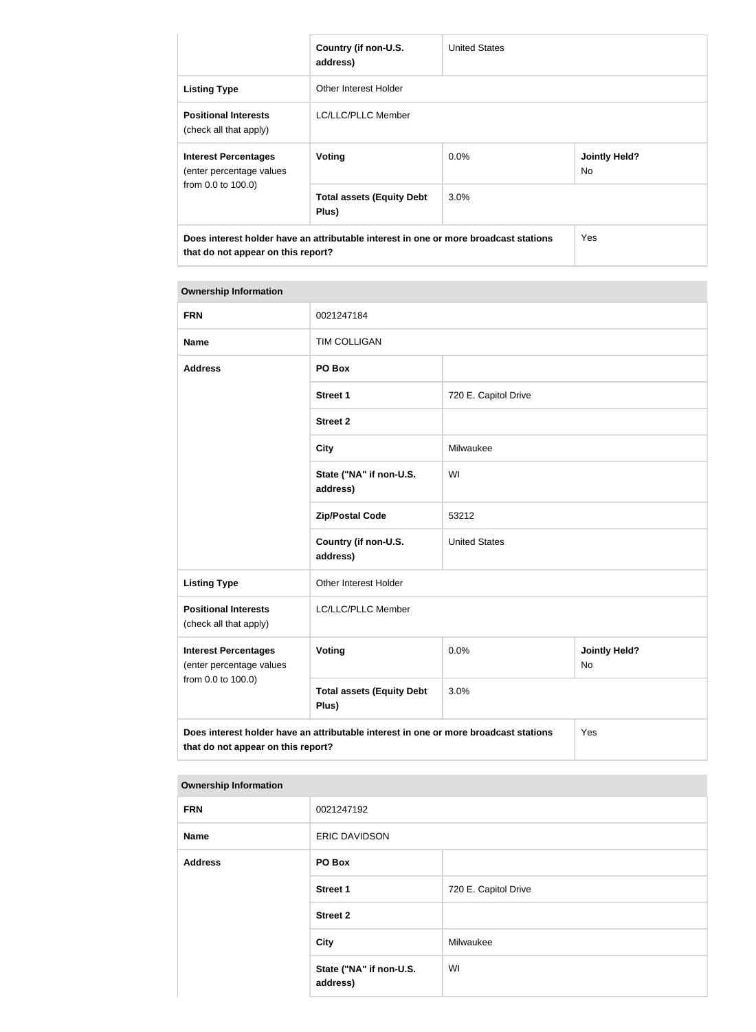|                                                                                                                            | Country (if non-U.S.<br>address)          | <b>United States</b> |                                   |
|----------------------------------------------------------------------------------------------------------------------------|-------------------------------------------|----------------------|-----------------------------------|
| <b>Listing Type</b>                                                                                                        | Other Interest Holder                     |                      |                                   |
| <b>Positional Interests</b><br>(check all that apply)                                                                      | LC/LLC/PLLC Member                        |                      |                                   |
| <b>Interest Percentages</b><br>(enter percentage values                                                                    | Voting                                    | $0.0\%$              | <b>Jointly Held?</b><br><b>No</b> |
| from 0.0 to 100.0)                                                                                                         | <b>Total assets (Equity Debt</b><br>Plus) | $3.0\%$              |                                   |
| Does interest holder have an attributable interest in one or more broadcast stations<br>that do not appear on this report? |                                           | <b>Yes</b>           |                                   |

# **Ownership Information FRN** 0021247184 **Name** TIM COLLIGAN **Address PO Box Street 1** 720 E. Capitol Drive **Street 2 City** Milwaukee **State ("NA" if non-U.S. address)** WI **Zip/Postal Code** 53212 **Country (if non-U.S. address)** United States Listing Type **Conservation** Other Interest Holder **Positional Interests** (check all that apply) LC/LLC/PLLC Member **Interest Percentages** (enter percentage values from 0.0 to 100.0) **Voting Voting Definition Jointly Held?** No **Total assets (Equity Debt Plus)** 3.0% **Does interest holder have an attributable interest in one or more broadcast stations that do not appear on this report?** Yes

#### **Ownership Information**

| 0021247192                          |                      |
|-------------------------------------|----------------------|
| <b>ERIC DAVIDSON</b>                |                      |
| PO Box                              |                      |
| <b>Street 1</b>                     | 720 E. Capitol Drive |
| <b>Street 2</b>                     |                      |
| City                                | Milwaukee            |
| State ("NA" if non-U.S.<br>address) | WI                   |
|                                     |                      |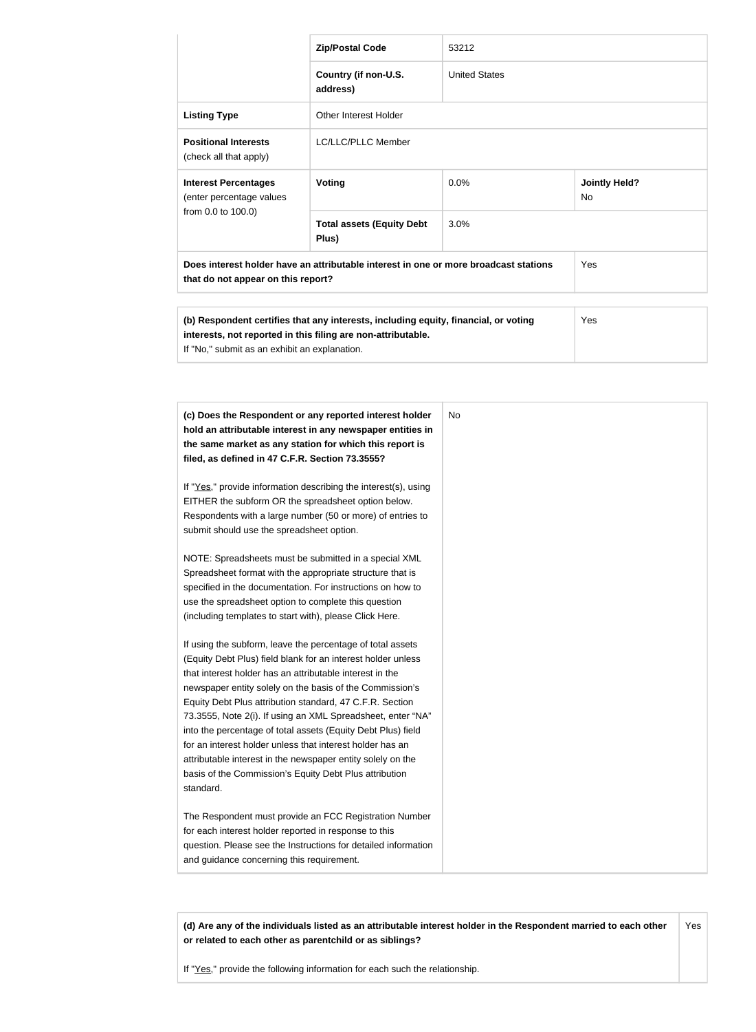|                                                                                                                                                                                                             | <b>Zip/Postal Code</b>                    | 53212                |                                   |
|-------------------------------------------------------------------------------------------------------------------------------------------------------------------------------------------------------------|-------------------------------------------|----------------------|-----------------------------------|
|                                                                                                                                                                                                             | Country (if non-U.S.<br>address)          | <b>United States</b> |                                   |
| <b>Listing Type</b>                                                                                                                                                                                         | Other Interest Holder                     |                      |                                   |
| <b>Positional Interests</b><br>(check all that apply)                                                                                                                                                       | LC/LLC/PLLC Member                        |                      |                                   |
| <b>Interest Percentages</b><br>(enter percentage values<br>from 0.0 to 100.0)                                                                                                                               | <b>Voting</b>                             | 0.0%                 | <b>Jointly Held?</b><br><b>No</b> |
|                                                                                                                                                                                                             | <b>Total assets (Equity Debt</b><br>Plus) | 3.0%                 |                                   |
| Does interest holder have an attributable interest in one or more broadcast stations<br>that do not appear on this report?                                                                                  |                                           |                      | Yes                               |
|                                                                                                                                                                                                             |                                           |                      |                                   |
| (b) Respondent certifies that any interests, including equity, financial, or voting<br>Yes<br>interests, not reported in this filing are non-attributable.<br>If "No," submit as an exhibit an explanation. |                                           |                      |                                   |

| (c) Does the Respondent or any reported interest holder         | No. |
|-----------------------------------------------------------------|-----|
| hold an attributable interest in any newspaper entities in      |     |
| the same market as any station for which this report is         |     |
| filed, as defined in 47 C.F.R. Section 73.3555?                 |     |
| If "Yes," provide information describing the interest(s), using |     |
| EITHER the subform OR the spreadsheet option below.             |     |
| Respondents with a large number (50 or more) of entries to      |     |
| submit should use the spreadsheet option.                       |     |
| NOTE: Spreadsheets must be submitted in a special XML           |     |
| Spreadsheet format with the appropriate structure that is       |     |
| specified in the documentation. For instructions on how to      |     |
| use the spreadsheet option to complete this question            |     |
| (including templates to start with), please Click Here.         |     |
| If using the subform, leave the percentage of total assets      |     |
| (Equity Debt Plus) field blank for an interest holder unless    |     |
| that interest holder has an attributable interest in the        |     |
| newspaper entity solely on the basis of the Commission's        |     |
| Equity Debt Plus attribution standard, 47 C.F.R. Section        |     |
| 73.3555, Note 2(i). If using an XML Spreadsheet, enter "NA"     |     |
| into the percentage of total assets (Equity Debt Plus) field    |     |
| for an interest holder unless that interest holder has an       |     |
| attributable interest in the newspaper entity solely on the     |     |
| basis of the Commission's Equity Debt Plus attribution          |     |
| standard.                                                       |     |
| The Respondent must provide an FCC Registration Number          |     |
| for each interest holder reported in response to this           |     |
| question. Please see the Instructions for detailed information  |     |
| and guidance concerning this requirement.                       |     |

**(d) Are any of the individuals listed as an attributable interest holder in the Respondent married to each other or related to each other as parentchild or as siblings?** Yes

If "Yes," provide the following information for each such the relationship.